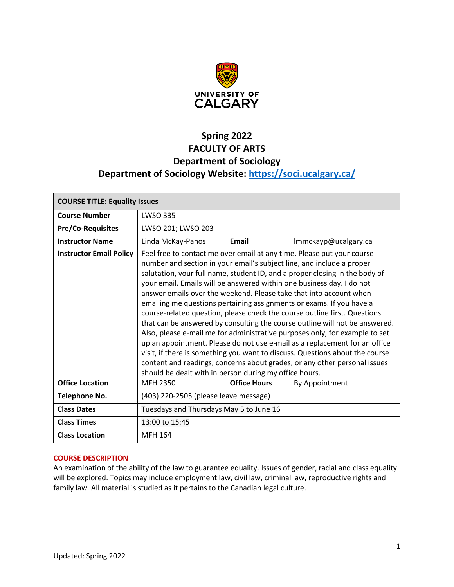

# **Spring 2022 FACULTY OF ARTS Department of Sociology Department of Sociology Website:<https://soci.ucalgary.ca/>**

| <b>COURSE TITLE: Equality Issues</b> |                                                                                                                                                                                                                                                                                                                                                                                                                                                                                                                                                                                                                                                                                                                                                                                                                                                                                                                                                                                                       |                     |                      |  |  |
|--------------------------------------|-------------------------------------------------------------------------------------------------------------------------------------------------------------------------------------------------------------------------------------------------------------------------------------------------------------------------------------------------------------------------------------------------------------------------------------------------------------------------------------------------------------------------------------------------------------------------------------------------------------------------------------------------------------------------------------------------------------------------------------------------------------------------------------------------------------------------------------------------------------------------------------------------------------------------------------------------------------------------------------------------------|---------------------|----------------------|--|--|
| <b>Course Number</b>                 | <b>LWSO 335</b>                                                                                                                                                                                                                                                                                                                                                                                                                                                                                                                                                                                                                                                                                                                                                                                                                                                                                                                                                                                       |                     |                      |  |  |
| <b>Pre/Co-Requisites</b>             | LWSO 201; LWSO 203                                                                                                                                                                                                                                                                                                                                                                                                                                                                                                                                                                                                                                                                                                                                                                                                                                                                                                                                                                                    |                     |                      |  |  |
| <b>Instructor Name</b>               | Linda McKay-Panos                                                                                                                                                                                                                                                                                                                                                                                                                                                                                                                                                                                                                                                                                                                                                                                                                                                                                                                                                                                     | Email               | Immckayp@ucalgary.ca |  |  |
| <b>Instructor Email Policy</b>       | Feel free to contact me over email at any time. Please put your course<br>number and section in your email's subject line, and include a proper<br>salutation, your full name, student ID, and a proper closing in the body of<br>your email. Emails will be answered within one business day. I do not<br>answer emails over the weekend. Please take that into account when<br>emailing me questions pertaining assignments or exams. If you have a<br>course-related question, please check the course outline first. Questions<br>that can be answered by consulting the course outline will not be answered.<br>Also, please e-mail me for administrative purposes only, for example to set<br>up an appointment. Please do not use e-mail as a replacement for an office<br>visit, if there is something you want to discuss. Questions about the course<br>content and readings, concerns about grades, or any other personal issues<br>should be dealt with in person during my office hours. |                     |                      |  |  |
| <b>Office Location</b>               | MFH 2350                                                                                                                                                                                                                                                                                                                                                                                                                                                                                                                                                                                                                                                                                                                                                                                                                                                                                                                                                                                              | <b>Office Hours</b> | By Appointment       |  |  |
| <b>Telephone No.</b>                 | (403) 220-2505 (please leave message)                                                                                                                                                                                                                                                                                                                                                                                                                                                                                                                                                                                                                                                                                                                                                                                                                                                                                                                                                                 |                     |                      |  |  |
| <b>Class Dates</b>                   | Tuesdays and Thursdays May 5 to June 16                                                                                                                                                                                                                                                                                                                                                                                                                                                                                                                                                                                                                                                                                                                                                                                                                                                                                                                                                               |                     |                      |  |  |
| <b>Class Times</b>                   | 13:00 to 15:45                                                                                                                                                                                                                                                                                                                                                                                                                                                                                                                                                                                                                                                                                                                                                                                                                                                                                                                                                                                        |                     |                      |  |  |
| <b>Class Location</b>                | <b>MFH 164</b>                                                                                                                                                                                                                                                                                                                                                                                                                                                                                                                                                                                                                                                                                                                                                                                                                                                                                                                                                                                        |                     |                      |  |  |

# **COURSE DESCRIPTION**

An examination of the ability of the law to guarantee equality. Issues of gender, racial and class equality will be explored. Topics may include employment law, civil law, criminal law, reproductive rights and family law. All material is studied as it pertains to the Canadian legal culture.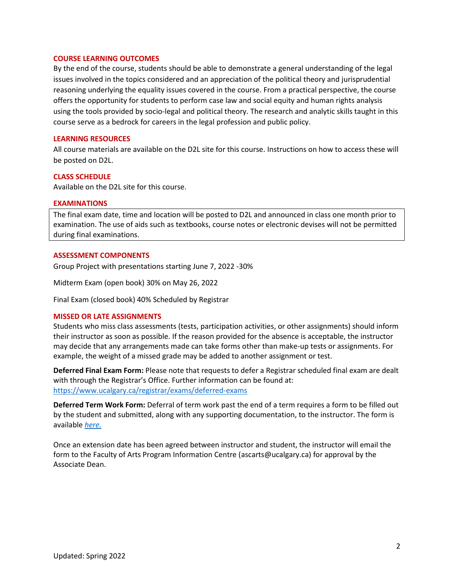### **COURSE LEARNING OUTCOMES**

By the end of the course, students should be able to demonstrate a general understanding of the legal issues involved in the topics considered and an appreciation of the political theory and jurisprudential reasoning underlying the equality issues covered in the course. From a practical perspective, the course offers the opportunity for students to perform case law and social equity and human rights analysis using the tools provided by socio-legal and political theory. The research and analytic skills taught in this course serve as a bedrock for careers in the legal profession and public policy.

# **LEARNING RESOURCES**

All course materials are available on the D2L site for this course. Instructions on how to access these will be posted on D2L.

### **CLASS SCHEDULE**

Available on the D2L site for this course.

### **EXAMINATIONS**

The final exam date, time and location will be posted to D2L and announced in class one month prior to examination. The use of aids such as textbooks, course notes or electronic devises will not be permitted during final examinations.

### **ASSESSMENT COMPONENTS**

Group Project with presentations starting June 7, 2022 -30%

Midterm Exam (open book) 30% on May 26, 2022

Final Exam (closed book) 40% Scheduled by Registrar

# **MISSED OR LATE ASSIGNMENTS**

Students who miss class assessments (tests, participation activities, or other assignments) should inform their instructor as soon as possible. If the reason provided for the absence is acceptable, the instructor may decide that any arrangements made can take forms other than make-up tests or assignments. For example, the weight of a missed grade may be added to another assignment or test.

**Deferred Final Exam Form:** Please note that requests to defer a Registrar scheduled final exam are dealt with through the Registrar's Office. Further information can be found at: <https://www.ucalgary.ca/registrar/exams/deferred-exams>

**Deferred Term Work Form:** Deferral of term work past the end of a term requires a form to be filled out by the student and submitted, along with any supporting documentation, to the instructor. The form is available *[here.](https://www.ucalgary.ca/registrar/student-centre/student-forms)*

Once an extension date has been agreed between instructor and student, the instructor will email the form to the Faculty of Arts Program Information Centre (ascarts@ucalgary.ca) for approval by the Associate Dean.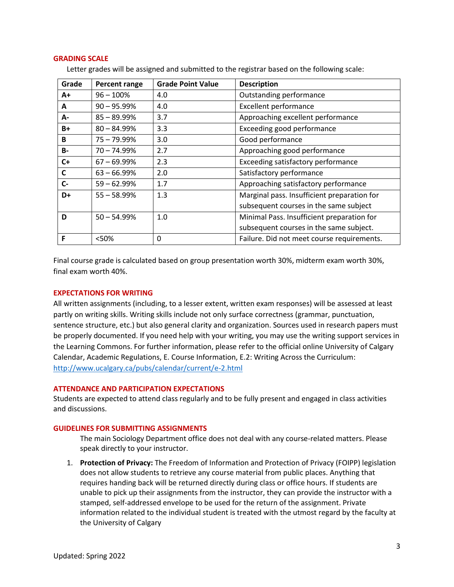### **GRADING SCALE**

| Grade | <b>Percent range</b> | <b>Grade Point Value</b> | <b>Description</b>                          |  |
|-------|----------------------|--------------------------|---------------------------------------------|--|
| A+    | $96 - 100\%$         | 4.0                      | Outstanding performance                     |  |
| A     | $90 - 95.99%$        | 4.0                      | <b>Excellent performance</b>                |  |
| А-    | $85 - 89.99\%$       | 3.7                      | Approaching excellent performance           |  |
| $B+$  | $80 - 84.99%$        | 3.3                      | Exceeding good performance                  |  |
| B     | $75 - 79.99%$        | 3.0                      | Good performance                            |  |
| $B -$ | $70 - 74.99\%$       | 2.7                      | Approaching good performance                |  |
| $C+$  | $67 - 69.99\%$       | 2.3                      | Exceeding satisfactory performance          |  |
| C     | $63 - 66.99%$        | 2.0                      | Satisfactory performance                    |  |
| $C -$ | $59 - 62.99%$        | 1.7                      | Approaching satisfactory performance        |  |
| D+    | $55 - 58.99%$        | 1.3                      | Marginal pass. Insufficient preparation for |  |
|       |                      |                          | subsequent courses in the same subject      |  |
| D     | $50 - 54.99%$        | 1.0                      | Minimal Pass. Insufficient preparation for  |  |
|       |                      |                          | subsequent courses in the same subject.     |  |
| F     | < 50%                | 0                        | Failure. Did not meet course requirements.  |  |

Letter grades will be assigned and submitted to the registrar based on the following scale:

Final course grade is calculated based on group presentation worth 30%, midterm exam worth 30%, final exam worth 40%.

# **EXPECTATIONS FOR WRITING**

All written assignments (including, to a lesser extent, written exam responses) will be assessed at least partly on writing skills. Writing skills include not only surface correctness (grammar, punctuation, sentence structure, etc.) but also general clarity and organization. Sources used in research papers must be properly documented. If you need help with your writing, you may use the writing support services in the Learning Commons. For further information, please refer to the official online University of Calgary Calendar, Academic Regulations, E. Course Information, E.2: Writing Across the Curriculum: <http://www.ucalgary.ca/pubs/calendar/current/e-2.html>

# **ATTENDANCE AND PARTICIPATION EXPECTATIONS**

Students are expected to attend class regularly and to be fully present and engaged in class activities and discussions.

#### **GUIDELINES FOR SUBMITTING ASSIGNMENTS**

The main Sociology Department office does not deal with any course-related matters. Please speak directly to your instructor.

1. **Protection of Privacy:** The Freedom of Information and Protection of Privacy (FOIPP) legislation does not allow students to retrieve any course material from public places. Anything that requires handing back will be returned directly during class or office hours. If students are unable to pick up their assignments from the instructor, they can provide the instructor with a stamped, self-addressed envelope to be used for the return of the assignment. Private information related to the individual student is treated with the utmost regard by the faculty at the University of Calgary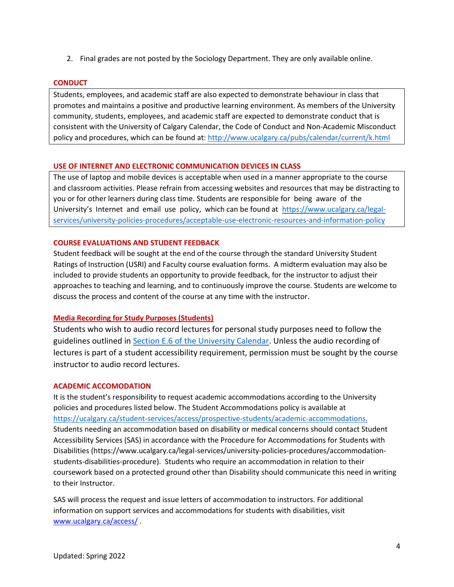2. Final grades are not posted by the Sociology Department. They are only available online.

# **CONDUCT**

Students, employees, and academic staff are also expected to demonstrate behaviour in class that promotes and maintains a positive and productive learning environment. As members of the University community, students, employees, and academic staff are expected to demonstrate conduct that is consistent with the University of Calgary Calendar, the Code of Conduct and Non-Academic Misconduct policy and procedures, which can be found at:<http://www.ucalgary.ca/pubs/calendar/current/k.html>

# **USE OF INTERNET AND ELECTRONIC COMMUNICATION DEVICES IN CLASS**

The use of laptop and mobile devices is acceptable when used in a manner appropriate to the course and classroom activities. Please refrain from accessing websites and resources that may be distracting to you or for other learners during class time. Students are responsible for being aware of the University's Internet and email use policy, which can be found at [https://www.ucalgary.ca/legal](https://www.ucalgary.ca/legal-services/university-policies-procedures/acceptable-use-electronic-resources-and-information-policy)[services/university-policies-procedures/acceptable-use-electronic-resources-and-information-policy](https://www.ucalgary.ca/legal-services/university-policies-procedures/acceptable-use-electronic-resources-and-information-policy)

# **COURSE EVALUATIONS AND STUDENT FEEDBACK**

Student feedback will be sought at the end of the course through the standard University Student Ratings of Instruction (USRI) and Faculty course evaluation forms. A midterm evaluation may also be included to provide students an opportunity to provide feedback, for the instructor to adjust their approaches to teaching and learning, and to continuously improve the course. Students are welcome to discuss the process and content of the course at any time with the instructor.

# **Media Recording for Study Purposes (Students)**

Students who wish to audio record lectures for personal study purposes need to follow the guidelines outlined in [Section E.6 of the University Calendar.](https://www.ucalgary.ca/pubs/calendar/current/e-6.html) Unless the audio recording of lectures is part of a student accessibility requirement, permission must be sought by the course instructor to audio record lectures.

# **ACADEMIC ACCOMODATION**

It is the student's responsibility to request academic accommodations according to the University policies and procedures listed below. The Student Accommodations policy is available at [https://ucalgary.ca/student-services/access/prospective-students/academic-accommodations.](https://ucalgary.ca/student-services/access/prospective-students/academic-accommodations) Students needing an accommodation based on disability or medical concerns should contact Student Accessibility Services (SAS) in accordance with the Procedure for Accommodations for Students with Disabilities (https://www.ucalgary.ca/legal-services/university-policies-procedures/accommodationstudents-disabilities-procedure). Students who require an accommodation in relation to their coursework based on a protected ground other than Disability should communicate this need in writing to their Instructor.

SAS will process the request and issue letters of accommodation to instructors. For additional information on support services and accommodations for students with disabilities, visit [www.ucalgary.ca/access/](http://www.ucalgary.ca/access/) .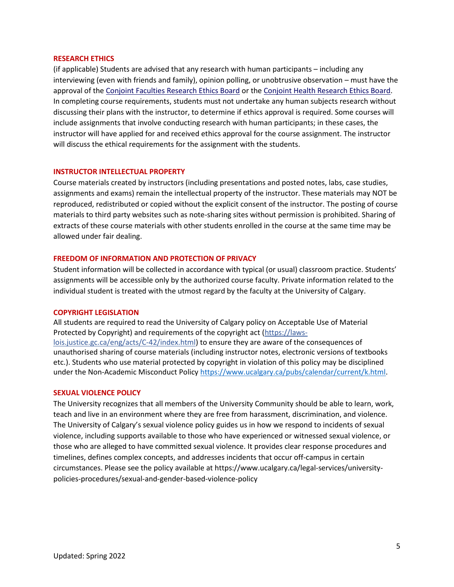### **RESEARCH ETHICS**

(if applicable) Students are advised that any research with human participants – including any interviewing (even with friends and family), opinion polling, or unobtrusive observation – must have the approval of the [Conjoint Faculties Research Ethics Board](https://research.ucalgary.ca/conduct-research/ethics-compliance/human-research-ethics/conjoint-faculties-research-ethics-board) or the [Conjoint Health Research Ethics Board.](https://research.ucalgary.ca/conduct-research/ethics-compliance/human-research-ethics/conjoint-health-research-ethics-board) In completing course requirements, students must not undertake any human subjects research without discussing their plans with the instructor, to determine if ethics approval is required. Some courses will include assignments that involve conducting research with human participants; in these cases, the instructor will have applied for and received ethics approval for the course assignment. The instructor will discuss the ethical requirements for the assignment with the students.

# **INSTRUCTOR INTELLECTUAL PROPERTY**

Course materials created by instructors (including presentations and posted notes, labs, case studies, assignments and exams) remain the intellectual property of the instructor. These materials may NOT be reproduced, redistributed or copied without the explicit consent of the instructor. The posting of course materials to third party websites such as note-sharing sites without permission is prohibited. Sharing of extracts of these course materials with other students enrolled in the course at the same time may be allowed under fair dealing.

### **FREEDOM OF INFORMATION AND PROTECTION OF PRIVACY**

Student information will be collected in accordance with typical (or usual) classroom practice. Students' assignments will be accessible only by the authorized course faculty. Private information related to the individual student is treated with the utmost regard by the faculty at the University of Calgary.

#### **COPYRIGHT LEGISLATION**

All students are required to read the University of Calgary policy on Acceptable Use of Material Protected by Copyright) and requirements of the copyright act (https://lawslois.justice.gc.ca/eng/acts/C-42/index.html) to ensure they are aware of the consequences of unauthorised sharing of course materials (including instructor notes, electronic versions of textbooks etc.). Students who use material protected by copyright in violation of this policy may be disciplined under the Non-Academic Misconduct Policy [https://www.ucalgary.ca/pubs/calendar/current/k.html.](https://www.ucalgary.ca/pubs/calendar/current/k.html)

#### **SEXUAL VIOLENCE POLICY**

The University recognizes that all members of the University Community should be able to learn, work, teach and live in an environment where they are free from harassment, discrimination, and violence. The University of Calgary's sexual violence policy guides us in how we respond to incidents of sexual violence, including supports available to those who have experienced or witnessed sexual violence, or those who are alleged to have committed sexual violence. It provides clear response procedures and timelines, defines complex concepts, and addresses incidents that occur off-campus in certain circumstances. Please see the policy available at https://www.ucalgary.ca/legal-services/universitypolicies-procedures/sexual-and-gender-based-violence-policy